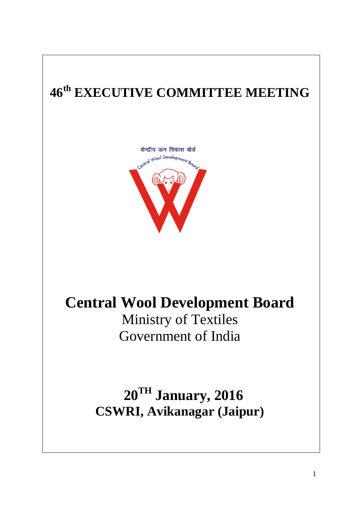# **46 th EXECUTIVE COMMITTEE MEETING**



## **Central Wool Development Board**

Ministry of Textiles Government of India

**20TH January, 2016 CSWRI, Avikanagar (Jaipur)**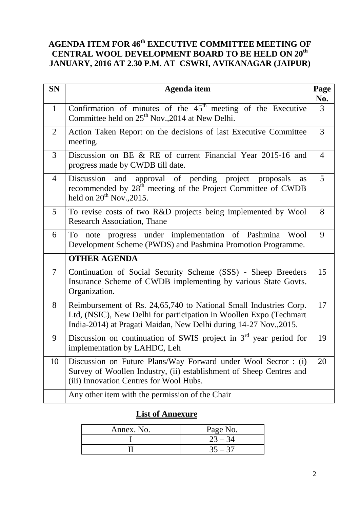## **AGENDA ITEM FOR 46 th EXECUTIVE COMMITTEE MEETING OF CENTRAL WOOL DEVELOPMENT BOARD TO BE HELD ON 20th JANUARY, 2016 AT 2.30 P.M. AT CSWRI, AVIKANAGAR (JAIPUR)**

| <b>SN</b>      | Agenda item                                                                                                                                                                                                  | Page<br>No.    |
|----------------|--------------------------------------------------------------------------------------------------------------------------------------------------------------------------------------------------------------|----------------|
| $\mathbf{1}$   | Confirmation of minutes of the $45th$ meeting of the Executive<br>Committee held on 25 <sup>th</sup> Nov., 2014 at New Delhi.                                                                                | $\overline{3}$ |
| 2              | Action Taken Report on the decisions of last Executive Committee<br>meeting.                                                                                                                                 | 3              |
| 3              | Discussion on BE & RE of current Financial Year 2015-16 and<br>progress made by CWDB till date.                                                                                                              | 4              |
| $\overline{4}$ | Discussion<br>approval of pending project<br>and<br>proposals<br>as<br>recommended by $28th$ meeting of the Project Committee of CWDB<br>held on $20^{th}$ Nov., 2015.                                       | 5              |
| 5              | To revise costs of two R&D projects being implemented by Wool<br><b>Research Association, Thane</b>                                                                                                          | 8              |
| 6              | progress under implementation of Pashmina<br>To<br>Wool<br>note<br>Development Scheme (PWDS) and Pashmina Promotion Programme.                                                                               | 9              |
|                | <b>OTHER AGENDA</b>                                                                                                                                                                                          |                |
| $\overline{7}$ | Continuation of Social Security Scheme (SSS) - Sheep Breeders<br>Insurance Scheme of CWDB implementing by various State Govts.<br>Organization.                                                              | 15             |
| 8              | Reimbursement of Rs. 24,65,740 to National Small Industries Corp.<br>Ltd, (NSIC), New Delhi for participation in Woollen Expo (Techmart<br>India-2014) at Pragati Maidan, New Delhi during 14-27 Nov., 2015. | 17             |
| 9              | Discussion on continuation of SWIS project in 3 <sup>rd</sup> year period for<br>implementation by LAHDC, Leh                                                                                                | 19             |
| 10             | Discussion on Future Plans/Way Forward under Wool Secror: (i)<br>Survey of Woollen Industry, (ii) establishment of Sheep Centres and<br>(iii) Innovation Centres for Wool Hubs.                              | 20             |
|                | Any other item with the permission of the Chair                                                                                                                                                              |                |

## **List of Annexure**

| Annex. No. | Page No.  |
|------------|-----------|
|            | $23 - 34$ |
|            |           |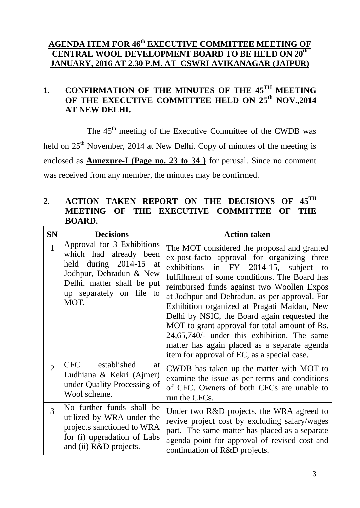## **AGENDA ITEM FOR 46th EXECUTIVE COMMITTEE MEETING OF CENTRAL WOOL DEVELOPMENT BOARD TO BE HELD ON 20th JANUARY, 2016 AT 2.30 P.M. AT CSWRI AVIKANAGAR (JAIPUR)**

## 1. CONFIRMATION OF THE MINUTES OF THE 45<sup>TH</sup> MEETING OF THE EXECUTIVE COMMITTEE HELD ON 25<sup>th</sup> NOV.,2014 **AT NEW DELHI.**

The 45<sup>th</sup> meeting of the Executive Committee of the CWDB was held on 25<sup>th</sup> November, 2014 at New Delhi. Copy of minutes of the meeting is enclosed as **Annexure-I (Page no. 23 to 34 )** for perusal. Since no comment was received from any member, the minutes may be confirmed.

#### 2. ACTION TAKEN REPORT ON THE DECISIONS OF  $45^{\text{TH}}$ **MEETING OF THE EXECUTIVE COMMITTEE OF THE BOARD.**

| <b>SN</b>      | <b>Decisions</b>                                                                                                                                                            | <b>Action taken</b>                                                                                                                                                                                                                                                                                                                                                                                                                                                                                                                                                               |
|----------------|-----------------------------------------------------------------------------------------------------------------------------------------------------------------------------|-----------------------------------------------------------------------------------------------------------------------------------------------------------------------------------------------------------------------------------------------------------------------------------------------------------------------------------------------------------------------------------------------------------------------------------------------------------------------------------------------------------------------------------------------------------------------------------|
| $\overline{1}$ | Approval for 3 Exhibitions<br>which had already been<br>held during 2014-15 at<br>Jodhpur, Dehradun & New<br>Delhi, matter shall be put<br>up separately on file to<br>MOT. | The MOT considered the proposal and granted<br>ex-post-facto approval for organizing three<br>exhibitions in FY 2014-15, subject to<br>fulfillment of some conditions. The Board has<br>reimbursed funds against two Woollen Expos<br>at Jodhpur and Dehradun, as per approval. For<br>Exhibition organized at Pragati Maidan, New<br>Delhi by NSIC, the Board again requested the<br>MOT to grant approval for total amount of Rs.<br>24,65,740/- under this exhibition. The same<br>matter has again placed as a separate agenda<br>item for approval of EC, as a special case. |
| $\overline{2}$ | <b>CFC</b><br>established<br>at<br>Ludhiana & Kekri (Ajmer)<br>under Quality Processing of<br>Wool scheme.                                                                  | CWDB has taken up the matter with MOT to<br>examine the issue as per terms and conditions<br>of CFC. Owners of both CFCs are unable to<br>run the CFCs.                                                                                                                                                                                                                                                                                                                                                                                                                           |
| 3              | No further funds shall be<br>utilized by WRA under the<br>projects sanctioned to WRA<br>for (i) upgradation of Labs<br>and (ii) R&D projects.                               | Under two R&D projects, the WRA agreed to<br>revive project cost by excluding salary/wages<br>part. The same matter has placed as a separate<br>agenda point for approval of revised cost and<br>continuation of R&D projects.                                                                                                                                                                                                                                                                                                                                                    |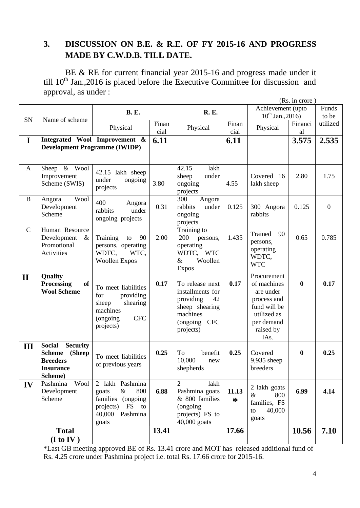## **3. DISCUSSION ON B.E. & R.E. OF FY 2015-16 AND PROGRESS MADE BY C.W.D.B. TILL DATE.**

BE & RE for current financial year 2015-16 and progress made under it till  $10^{th}$  Jan., 2016 is placed before the Executive Committee for discussion and approval, as under :

|               |                                                                                                               |                                                                                                                      |               |                                                                                                                   |                 | (Rs. in crore)                                                                                                           |               |                  |
|---------------|---------------------------------------------------------------------------------------------------------------|----------------------------------------------------------------------------------------------------------------------|---------------|-------------------------------------------------------------------------------------------------------------------|-----------------|--------------------------------------------------------------------------------------------------------------------------|---------------|------------------|
| <b>SN</b>     |                                                                                                               | <b>B.</b> E.                                                                                                         |               |                                                                                                                   |                 | Achievement (upto<br>$10^{th}$ Jan., 2016)                                                                               |               | Funds<br>to be   |
|               | Name of scheme                                                                                                | Physical                                                                                                             | Finan<br>cial | Physical                                                                                                          | Finan<br>cial   | Physical                                                                                                                 | Financi<br>al | utilized         |
| $\mathbf I$   | <b>Development Programme (IWIDP)</b>                                                                          | Integrated Wool Improvement &                                                                                        | 6.11          |                                                                                                                   | 6.11            |                                                                                                                          | 3.575         | 2.535            |
| A             | Sheep & Wool<br>Improvement<br>Scheme (SWIS)                                                                  | 42.15 lakh sheep<br>under<br>ongoing<br>projects                                                                     | 3.80          | 42.15<br>lakh<br>sheep<br>under<br>ongoing<br>projects                                                            | 4.55            | Covered 16<br>lakh sheep                                                                                                 | 2.80          | 1.75             |
| B             | Wool<br>Angora<br>Development<br>Scheme                                                                       | 400<br>Angora<br>under<br>rabbits<br>ongoing projects                                                                | 0.31          | 300<br>Angora<br>rabbits<br>under<br>ongoing<br>projects                                                          | 0.125           | 300 Angora<br>rabbits                                                                                                    | 0.125         | $\boldsymbol{0}$ |
| $\mathcal{C}$ | Human Resource<br>Development<br>$\&$<br>Promotional<br>Activities                                            | Training<br>90<br>to<br>persons, operating<br>WDTC,<br>WTC,<br><b>Woollen Expos</b>                                  | 2.00          | Training to<br>200<br>persons,<br>operating<br>WDTC, WTC<br>$\&$<br>Woollen<br><b>Expos</b>                       | 1.435           | Trained<br>90<br>persons,<br>operating<br>WDTC,<br><b>WTC</b>                                                            | 0.65          | 0.785            |
| $\mathbf{I}$  | Quality<br><b>Processing</b><br>of<br><b>Wool Scheme</b>                                                      | To meet liabilities<br>for<br>providing<br>sheep<br>shearing<br>machines<br><b>CFC</b><br>(ongoing)<br>projects)     | 0.17          | To release next<br>installments for<br>providing<br>42<br>sheep shearing<br>machines<br>(ongoing CFC<br>projects) | 0.17            | Procurement<br>of machines<br>are under<br>process and<br>fund will be<br>utilized as<br>per demand<br>raised by<br>IAs. | $\bf{0}$      | 0.17             |
| III           | <b>Social</b><br><b>Security</b><br><b>Scheme</b><br>(Sheep<br><b>Breeders</b><br><b>Insurance</b><br>Scheme) | To meet liabilities<br>of previous years                                                                             | 0.25          | To<br>benefit<br>10,000<br>new<br>shepherds                                                                       | 0.25            | Covered<br>9,935 sheep<br>breeders                                                                                       | $\bf{0}$      | 0.25             |
| IV            | Pashmina<br>Wool<br>Development<br>Scheme                                                                     | 2 lakh Pashmina<br>$\&$<br>800<br>goats<br>families (ongoing<br>projects)<br>FS<br>to<br>Pashmina<br>40,000<br>goats | 6.88          | $\overline{2}$<br>lakh<br>Pashmina goats<br>& 800 families<br>(ongoing<br>projects) FS to<br>40,000 goats         | 11.13<br>$\ast$ | 2 lakh goats<br>800<br>$\&$<br>families, FS<br>40,000<br>to<br>goats                                                     | 6.99          | 4.14             |
|               | <b>Total</b><br>(I to IV)                                                                                     |                                                                                                                      | 13.41         |                                                                                                                   | 17.66           |                                                                                                                          | 10.56         | 7.10             |

\*Last GB meeting approved BE of Rs. 13.41 crore and MOT has released additional fund of Rs. 4.25 crore under Pashmina project i.e. total Rs. 17.66 crore for 2015-16.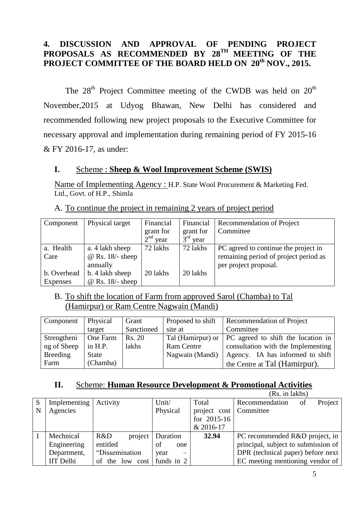## **4. DISCUSSION AND APPROVAL OF PENDING PROJECT**  PROPOSALS AS RECOMMENDED BY 28<sup>TH</sup> MEETING OF THE **PROJECT COMMITTEE OF THE BOARD HELD ON 20th NOV., 2015.**

The  $28<sup>th</sup>$  Project Committee meeting of the CWDB was held on  $20<sup>th</sup>$ November,2015 at Udyog Bhawan, New Delhi has considered and recommended following new project proposals to the Executive Committee for necessary approval and implementation during remaining period of FY 2015-16 & FY 2016-17, as under:

#### **I.** Scheme : **Sheep & Wool Improvement Scheme (SWIS)**

Name of Implementing Agency : H.P. State Wool Procurement & Marketing Fed. Ltd., Govt. of H.P., Shimla

| Component   | Physical target    | Financial  | Financial               | Recommendation of Project             |
|-------------|--------------------|------------|-------------------------|---------------------------------------|
|             |                    | grant for  | grant for               | Committee                             |
|             |                    | $2nd$ year | $3^{\text{rd}}$<br>year |                                       |
| a. Health   | a. 4 lakh sheep    | 72 lakhs   | 72 lakhs                | PC agreed to continue the project in  |
| Care        | $@$ Rs. 18/- sheep |            |                         | remaining period of project period as |
|             | annually           |            |                         | per project proposal.                 |
| b. Overhead | b. 4 lakh sheep    | 20 lakhs   | 20 lakhs                |                                       |
| Expenses    | $@$ Rs. 18/- sheep |            |                         |                                       |

A. To continue the project in remaining 2 years of project period

#### B. To shift the location of Farm from approved Sarol (Chamba) to Tal (Hamirpur) or Ram Centre Nagwain (Mandi)

| Component       | <b>Physical</b> | Grant      | Proposed to shift | Recommendation of Project                              |
|-----------------|-----------------|------------|-------------------|--------------------------------------------------------|
|                 | target          | Sanctioned | site at           | Committee                                              |
| Strengtheni     | One Farm        | Rs. 20     |                   | Tal (Hamirpur) or   PC agreed to shift the location in |
| ng of Sheep     | in $H.P.$       | lakhs      | Ram Centre        | consultation with the Implementing                     |
| <b>Breeding</b> | State           |            | Nagwain (Mandi)   | Agency. IA has informed to shift                       |
| Farm            | (Chamba)        |            |                   | the Centre at Tal (Hamirpur).                          |

## **II.** Scheme: **Human Resource Development & Promotional Activities**

|   |                  |                 |                                  |               | (Rs. in lakhs)                      |
|---|------------------|-----------------|----------------------------------|---------------|-------------------------------------|
| S | Implementing     | Activity        | Unit/                            | Total         | Project<br>Recommendation<br>of     |
| N | Agencies         |                 | Physical                         | project cost  | Committee                           |
|   |                  |                 |                                  | for $2015-16$ |                                     |
|   |                  |                 |                                  | & 2016-17     |                                     |
|   | Mechnical        | R&D<br>project  | Duration                         | 32.94         | PC recommended R&D project, in      |
|   | Engineering      | entitled        | of<br>one                        |               | principal, subject to submission of |
|   | Department,      | "Dissemination  | year<br>$\overline{\phantom{0}}$ |               | DPR (technical paper) before next   |
|   | <b>IIT</b> Delhi | of the low cost | funds in 2                       |               | EC meeting mentioning vendor of     |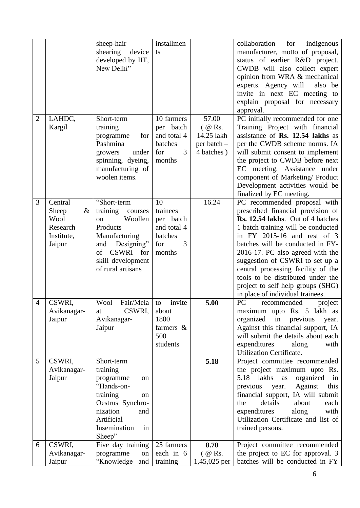|                |               | sheep-hair          | installmen            |             | collaboration for<br>indigenous      |
|----------------|---------------|---------------------|-----------------------|-------------|--------------------------------------|
|                |               | shearing<br>device  | ts                    |             | manufacturer, motto of proposal,     |
|                |               | developed by IIT,   |                       |             | status of earlier R&D project.       |
|                |               | New Delhi"          |                       |             | CWDB will also collect expert        |
|                |               |                     |                       |             | opinion from WRA & mechanical        |
|                |               |                     |                       |             | experts. Agency will<br>also be      |
|                |               |                     |                       |             | invite in next EC meeting to         |
|                |               |                     |                       |             | explain proposal for necessary       |
|                |               |                     |                       |             | approval.                            |
|                |               |                     |                       |             |                                      |
| $\overline{2}$ | LAHDC,        | Short-term          | 10 farmers            | 57.00       | PC initially recommended for one     |
|                | Kargil        | training            | per batch             | $($ @ Rs.   | Training Project with financial      |
|                |               | for<br>programme    | and total 4           | 14.25 lakh  | assistance of Rs. 12.54 lakhs as     |
|                |               | Pashmina            | batches               | per batch – | per the CWDB scheme norms. IA        |
|                |               | growers<br>under    | $\overline{3}$<br>for | 4 batches)  | will submit consent to implement     |
|                |               | spinning, dyeing,   | months                |             | the project to CWDB before next      |
|                |               | manufacturing of    |                       |             | EC meeting. Assistance under         |
|                |               | woolen items.       |                       |             | component of Marketing/ Product      |
|                |               |                     |                       |             | Development activities would be      |
|                |               |                     |                       |             | finalized by EC meeting.             |
| 3              | Central       | "Short-term         | 10                    | 16.24       | PC recommended proposal with         |
|                | Sheep<br>$\&$ | training<br>courses | trainees              |             | prescribed financial provision of    |
|                | Wool          | Woollen<br>on       | per batch             |             | Rs. 12.54 lakhs. Out of 4 batches    |
|                | Research      | Products            | and total 4           |             | 1 batch training will be conducted   |
|                | Institute,    | Manufacturing       | batches               |             | in FY 2015-16 and rest of 3          |
|                | Jaipur        | Designing"<br>and   | 3<br>for              |             | batches will be conducted in FY-     |
|                |               | CSWRI for<br>of     | months                |             | 2016-17. PC also agreed with the     |
|                |               | skill development   |                       |             | suggestion of CSWRI to set up a      |
|                |               | of rural artisans   |                       |             | central processing facility of the   |
|                |               |                     |                       |             | tools to be distributed under the    |
|                |               |                     |                       |             | project to self help groups (SHG)    |
|                |               |                     |                       |             | in place of individual trainees.     |
| 4              | CSWRI,        | Fair/Mela<br>Wool   | invite<br>to          | 5.00        | PC<br>recommended<br>project         |
|                | Avikanagar-   | CSWRI,<br>at        | about                 |             | maximum upto Rs. 5 lakh as           |
|                | Jaipur        | Avikanagar-         | 1800                  |             | organized<br>in<br>previous<br>year. |
|                |               | Jaipur              | farmers $\&$          |             | Against this financial support, IA   |
|                |               |                     | 500                   |             | will submit the details about each   |
|                |               |                     | students              |             | expenditures<br>with<br>along        |
|                |               |                     |                       |             | Utilization Certificate.             |
| 5              | CSWRI,        | Short-term          |                       | 5.18        | Project committee recommended        |
|                | Avikanagar-   | training            |                       |             | the project maximum upto Rs.         |
|                | Jaipur        | programme<br>on     |                       |             | 5.18 lakhs<br>organized<br>as<br>in  |
|                |               | "Hands-on-          |                       |             | Against<br>this<br>previous<br>year. |
|                |               | training<br>on      |                       |             | financial support, IA will submit    |
|                |               | Oestrus Synchro-    |                       |             | details<br>about<br>the<br>each      |
|                |               | nization<br>and     |                       |             | expenditures<br>along<br>with        |
|                |               | Artificial          |                       |             | Utilization Certificate and list of  |
|                |               | Insemination        |                       |             |                                      |
|                |               | in<br>Sheep"        |                       |             | trained persons.                     |
| 6              | CSWRI,        | Five day training   | 25 farmers            | 8.70        | Project committee recommended        |
|                | Avikanagar-   | programme<br>on     | each in 6             | $($ @ Rs.   | the project to EC for approval. 3    |
|                |               |                     |                       |             |                                      |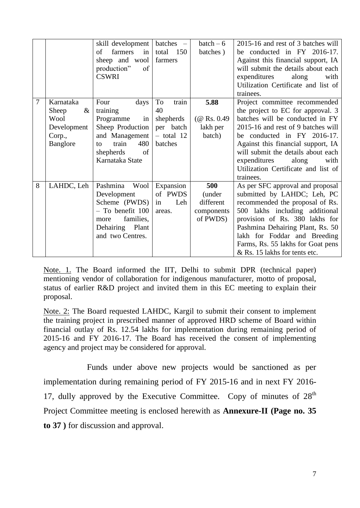|   |               | skill development   | batches –    | $batch-6$     | 2015-16 and rest of 3 batches will               |
|---|---------------|---------------------|--------------|---------------|--------------------------------------------------|
|   |               | farmers<br>in<br>οf | total<br>150 | batches)      | be conducted in FY 2016-17.                      |
|   |               | sheep and wool      | farmers      |               | Against this financial support, IA               |
|   |               | production"<br>of   |              |               | will submit the details about each               |
|   |               | <b>CSWRI</b>        |              |               | expenditures<br>along<br>with                    |
|   |               |                     |              |               | Utilization Certificate and list of<br>trainees. |
| 7 | Karnataka     | Four<br>days        | To<br>train  | 5.88          | Project committee recommended                    |
|   | Sheep<br>$\&$ | training            | 40           |               | the project to EC for approval. 3                |
|   | Wool          | Programme<br>in     | shepherds    | $(Q$ Rs. 0.49 | batches will be conducted in FY                  |
|   | Development   | Sheep Production    | per batch    | lakh per      | 2015-16 and rest of 9 batches will               |
|   | Corp.,        | and Management      | $-$ total 12 | batch)        | be conducted in FY 2016-17.                      |
|   | Banglore      | train<br>480<br>to  | batches      |               | Against this financial support, IA               |
|   |               | of<br>shepherds     |              |               | will submit the details about each               |
|   |               | Karnataka State     |              |               | expenditures<br>along<br>with                    |
|   |               |                     |              |               | Utilization Certificate and list of              |
|   |               |                     |              |               | trainees.                                        |
| 8 | LAHDC, Leh    | Pashmina<br>Wool    | Expansion    | 500           | As per SFC approval and proposal                 |
|   |               | Development         | of PWDS      | (under        | submitted by LAHDC; Leh, PC                      |
|   |               | Scheme (PWDS)       | Leh<br>in    | different     | recommended the proposal of Rs.                  |
|   |               | $-$ To benefit 100  | areas.       | components    | 500 lakhs including additional                   |
|   |               | families,<br>more   |              | of PWDS)      | provision of Rs. 380 lakhs for                   |
|   |               | Dehairing Plant     |              |               | Pashmina Dehairing Plant, Rs. 50                 |
|   |               | and two Centres.    |              |               | lakh for Foddar and Breeding                     |
|   |               |                     |              |               | Farms, Rs. 55 lakhs for Goat pens                |
|   |               |                     |              |               | & Rs. 15 lakhs for tents etc.                    |

Note. 1. The Board informed the IIT, Delhi to submit DPR (technical paper) mentioning vendor of collaboration for indigenous manufacturer, motto of proposal, status of earlier R&D project and invited them in this EC meeting to explain their proposal.

Note. 2: The Board requested LAHDC, Kargil to submit their consent to implement the training project in prescribed manner of approved HRD scheme of Board within financial outlay of Rs. 12.54 lakhs for implementation during remaining period of 2015-16 and FY 2016-17. The Board has received the consent of implementing agency and project may be considered for approval.

Funds under above new projects would be sanctioned as per implementation during remaining period of FY 2015-16 and in next FY 2016- 17, dully approved by the Executive Committee. Copy of minutes of  $28<sup>th</sup>$ Project Committee meeting is enclosed herewith as **Annexure-II (Page no. 35 to 37 )** for discussion and approval.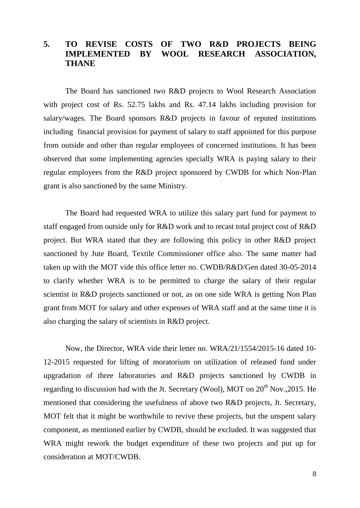## **5. TO REVISE COSTS OF TWO R&D PROJECTS BEING IMPLEMENTED BY WOOL RESEARCH ASSOCIATION, THANE**

The Board has sanctioned two R&D projects to Wool Research Association with project cost of Rs. 52.75 lakhs and Rs. 47.14 lakhs including provision for salary/wages. The Board sponsors R&D projects in favour of reputed institutions including financial provision for payment of salary to staff appointed for this purpose from outside and other than regular employees of concerned institutions. It has been observed that some implementing agencies specially WRA is paying salary to their regular employees from the R&D project sponsored by CWDB for which Non-Plan grant is also sanctioned by the same Ministry.

The Board had requested WRA to utilize this salary part fund for payment to staff engaged from outside only for R&D work and to recast total project cost of R&D project. But WRA stated that they are following this policy in other R&D project sanctioned by Jute Board, Textile Commissioner office also. The same matter had taken up with the MOT vide this office letter no. CWDB/R&D/Gen dated 30-05-2014 to clarify whether WRA is to be permitted to charge the salary of their regular scientist in R&D projects sanctioned or not, as on one side WRA is getting Non Plan grant from MOT for salary and other expenses of WRA staff and at the same time it is also charging the salary of scientists in R&D project.

Now, the Director, WRA vide their letter no. WRA/21/1554/2015-16 dated 10- 12-2015 requested for lifting of moratorium on utilization of released fund under upgradation of three laboratories and R&D projects sanctioned by CWDB in regarding to discussion had with the Jt. Secretary (Wool), MOT on  $20<sup>th</sup>$  Nov., 2015. He mentioned that considering the usefulness of above two R&D projects, Jt. Secretary, MOT felt that it might be worthwhile to revive these projects, but the unspent salary component, as mentioned earlier by CWDB, should be excluded. It was suggested that WRA might rework the budget expenditure of these two projects and put up for consideration at MOT/CWDB.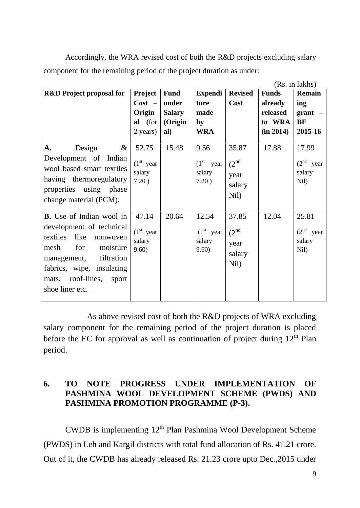Accordingly, the WRA revised cost of both the R&D projects excluding salary component for the remaining period of the project duration as under:

|                                     |             |               |                |                   |              | (Rs. in lakhs) |
|-------------------------------------|-------------|---------------|----------------|-------------------|--------------|----------------|
| <b>R&amp;D</b> Project proposal for | Project     | <b>Fund</b>   | <b>Expendi</b> | <b>Revised</b>    | <b>Funds</b> | Remain         |
|                                     | $Cost -$    | under         | ture           | Cost              | already      | ing            |
|                                     | Origin      | <b>Salary</b> | made           |                   | released     | $grant$ –      |
|                                     | al (for     | (Origin       | by             |                   | to WRA       | BE             |
|                                     | 2 years)    | al)           | <b>WRA</b>     |                   | (in 2014)    | 2015-16        |
|                                     |             |               |                |                   |              |                |
| Design<br>A.<br>$\&$                | 52.75       | 15.48         | 9.56           | 35.87             | 17.88        | 17.99          |
| Development of Indian               | $(1st$ year |               | $(1st$ year    |                   |              | $(2nd$ year    |
| wool based smart textiles           | salary      |               | salary         | $(2^{\text{nd}})$ |              | salary         |
| having thermoregulatory             | 7.20)       |               | 7.20)          | year              |              | Nil)           |
| properties using phase              |             |               |                | salary            |              |                |
| change material (PCM).              |             |               |                | Nil)              |              |                |
|                                     |             |               |                |                   |              |                |
| <b>B.</b> Use of Indian wool in     | 47.14       | 20.64         | 12.54          | 37.85             | 12.04        | 25.81          |
| development of technical            |             |               |                |                   |              |                |
| textiles<br>like<br>nonwoven        | $(1st$ year |               | $(1st$ year    | (2 <sup>nd</sup>  |              | $(2nd$ year    |
| for<br>moisture<br>mesh             | salary      |               | salary         | year              |              | salary         |
|                                     | 9.60)       |               | 9.60)          | salary            |              | Nil)           |
| management, filtration              |             |               |                | Nil)              |              |                |
| fabrics, wipe, insulating           |             |               |                |                   |              |                |
| mats, roof-lines,<br>sport          |             |               |                |                   |              |                |
| shoe liner etc.                     |             |               |                |                   |              |                |
|                                     |             |               |                |                   |              |                |

As above revised cost of both the R&D projects of WRA excluding salary component for the remaining period of the project duration is placed before the EC for approval as well as continuation of project during  $12<sup>th</sup>$  Plan period.

#### **6. TO NOTE PROGRESS UNDER IMPLEMENTATION OF PASHMINA WOOL DEVELOPMENT SCHEME (PWDS) AND PASHMINA PROMOTION PROGRAMME (P-3).**

CWDB is implementing  $12<sup>th</sup>$  Plan Pashmina Wool Development Scheme (PWDS) in Leh and Kargil districts with total fund allocation of Rs. 41.21 crore. Out of it, the CWDB has already released Rs. 21.23 crore upto Dec.,2015 under

 $\sqrt{R}$  in late  $\sqrt{R}$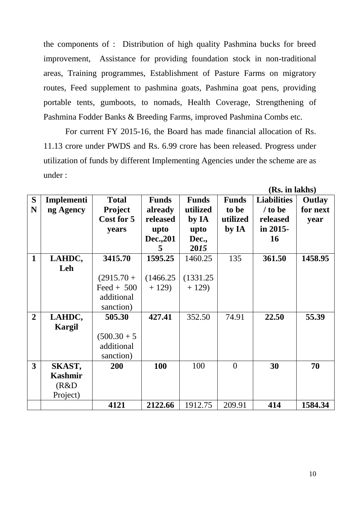the components of : Distribution of high quality Pashmina bucks for breed improvement, Assistance for providing foundation stock in non-traditional areas, Training programmes, Establishment of Pasture Farms on migratory routes, Feed supplement to pashmina goats, Pashmina goat pens, providing portable tents, gumboots, to nomads, Health Coverage, Strengthening of Pashmina Fodder Banks & Breeding Farms, improved Pashmina Combs etc.

For current FY 2015-16, the Board has made financial allocation of Rs. 11.13 crore under PWDS and Rs. 6.99 crore has been released. Progress under utilization of funds by different Implementing Agencies under the scheme are as under :

|                |               |                |                  |              |                | (IS), III IANII)   |          |
|----------------|---------------|----------------|------------------|--------------|----------------|--------------------|----------|
| S              | Implementi    | <b>Total</b>   | <b>Funds</b>     | <b>Funds</b> | <b>Funds</b>   | <b>Liabilities</b> | Outlay   |
| N              | ng Agency     | <b>Project</b> | already          | utilized     | to be          | $/$ to be          | for next |
|                |               | Cost for 5     | released         |              | utilized       |                    |          |
|                |               |                |                  | by IA        |                | released           | year     |
|                |               | years          | upto             | upto         | by IA          | in 2015-           |          |
|                |               |                | <b>Dec., 201</b> | Dec.,        |                | <b>16</b>          |          |
|                |               |                | 5                | 2015         |                |                    |          |
| $\mathbf{1}$   | LAHDC,        | 3415.70        | 1595.25          | 1460.25      | 135            | 361.50             | 1458.95  |
|                | Leh           |                |                  |              |                |                    |          |
|                |               | $(2915.70 +$   | (1466.25)        | (1331.25     |                |                    |          |
|                |               | Feed + $500$   | $+129$           | $+129$       |                |                    |          |
|                |               | additional     |                  |              |                |                    |          |
|                |               | sanction)      |                  |              |                |                    |          |
| $\overline{2}$ | LAHDC,        | 505.30         | 427.41           | 352.50       | 74.91          | 22.50              | 55.39    |
|                | <b>Kargil</b> |                |                  |              |                |                    |          |
|                |               | $(500.30 + 5)$ |                  |              |                |                    |          |
|                |               | additional     |                  |              |                |                    |          |
|                |               | sanction)      |                  |              |                |                    |          |
| 3              | SKAST,        | 200            | 100              | 100          | $\overline{0}$ | 30                 | 70       |
|                | Kashmir       |                |                  |              |                |                    |          |
|                | (R&D)         |                |                  |              |                |                    |          |
|                | Project)      |                |                  |              |                |                    |          |
|                |               | 4121           | 2122.66          | 1912.75      | 209.91         | 414                | 1584.34  |

**(Rs. in lakhs)**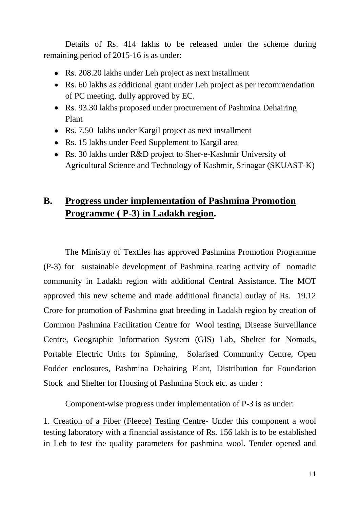Details of Rs. 414 lakhs to be released under the scheme during remaining period of 2015-16 is as under:

- Rs. 208.20 lakhs under Leh project as next installment
- Rs. 60 lakhs as additional grant under Leh project as per recommendation of PC meeting, dully approved by EC.
- Rs. 93.30 lakhs proposed under procurement of Pashmina Dehairing Plant
- Rs. 7.50 lakhs under Kargil project as next installment
- Rs. 15 lakhs under Feed Supplement to Kargil area
- Rs. 30 lakhs under R&D project to Sher-e-Kashmir University of Agricultural Science and Technology of Kashmir, Srinagar (SKUAST-K)

## **B. Progress under implementation of Pashmina Promotion Programme ( P-3) in Ladakh region.**

The Ministry of Textiles has approved Pashmina Promotion Programme (P-3) for sustainable development of Pashmina rearing activity of nomadic community in Ladakh region with additional Central Assistance. The MOT approved this new scheme and made additional financial outlay of Rs. 19.12 Crore for promotion of Pashmina goat breeding in Ladakh region by creation of Common Pashmina Facilitation Centre for Wool testing, Disease Surveillance Centre, Geographic Information System (GIS) Lab, Shelter for Nomads, Portable Electric Units for Spinning, Solarised Community Centre, Open Fodder enclosures, Pashmina Dehairing Plant, Distribution for Foundation Stock and Shelter for Housing of Pashmina Stock etc. as under :

Component-wise progress under implementation of P-3 is as under:

1. Creation of a Fiber (Fleece) Testing Centre- Under this component a wool testing laboratory with a financial assistance of Rs. 156 lakh is to be established in Leh to test the quality parameters for pashmina wool. Tender opened and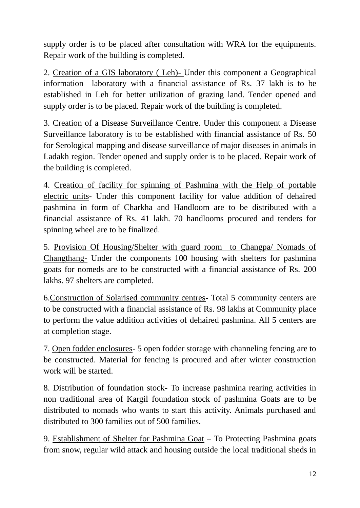supply order is to be placed after consultation with WRA for the equipments. Repair work of the building is completed.

2. Creation of a GIS laboratory ( Leh)- Under this component a Geographical information laboratory with a financial assistance of Rs. 37 lakh is to be established in Leh for better utilization of grazing land. Tender opened and supply order is to be placed. Repair work of the building is completed.

3. Creation of a Disease Surveillance Centre. Under this component a Disease Surveillance laboratory is to be established with financial assistance of Rs. 50 for Serological mapping and disease surveillance of major diseases in animals in Ladakh region. Tender opened and supply order is to be placed. Repair work of the building is completed.

4. Creation of facility for spinning of Pashmina with the Help of portable electric units- Under this component facility for value addition of dehaired pashmina in form of Charkha and Handloom are to be distributed with a financial assistance of Rs. 41 lakh. 70 handlooms procured and tenders for spinning wheel are to be finalized.

5. Provision Of Housing/Shelter with guard room to Changpa/ Nomads of Changthang- Under the components 100 housing with shelters for pashmina goats for nomeds are to be constructed with a financial assistance of Rs. 200 lakhs. 97 shelters are completed.

6.Construction of Solarised community centres- Total 5 community centers are to be constructed with a financial assistance of Rs. 98 lakhs at Community place to perform the value addition activities of dehaired pashmina. All 5 centers are at completion stage.

7. Open fodder enclosures- 5 open fodder storage with channeling fencing are to be constructed. Material for fencing is procured and after winter construction work will be started.

8. Distribution of foundation stock- To increase pashmina rearing activities in non traditional area of Kargil foundation stock of pashmina Goats are to be distributed to nomads who wants to start this activity. Animals purchased and distributed to 300 families out of 500 families.

9. Establishment of Shelter for Pashmina Goat – To Protecting Pashmina goats from snow, regular wild attack and housing outside the local traditional sheds in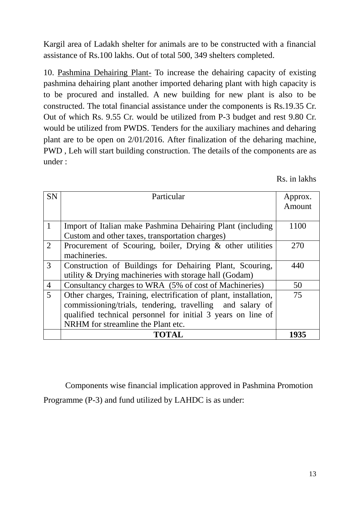Kargil area of Ladakh shelter for animals are to be constructed with a financial assistance of Rs.100 lakhs. Out of total 500, 349 shelters completed.

10. Pashmina Dehairing Plant- To increase the dehairing capacity of existing pashmina dehairing plant another imported deharing plant with high capacity is to be procured and installed. A new building for new plant is also to be constructed. The total financial assistance under the components is Rs.19.35 Cr. Out of which Rs. 9.55 Cr. would be utilized from P-3 budget and rest 9.80 Cr. would be utilized from PWDS. Tenders for the auxiliary machines and deharing plant are to be open on 2/01/2016. After finalization of the deharing machine, PWD , Leh will start building construction. The details of the components are as under :

Rs. in lakhs

| <b>SN</b>      | Particular                                                       | Approx. |
|----------------|------------------------------------------------------------------|---------|
|                |                                                                  | Amount  |
|                |                                                                  |         |
| $\mathbf{1}$   | Import of Italian make Pashmina Dehairing Plant (including       | 1100    |
|                | Custom and other taxes, transportation charges)                  |         |
| $\overline{2}$ | Procurement of Scouring, boiler, Drying & other utilities        | 270     |
|                | machineries.                                                     |         |
| 3              | Construction of Buildings for Dehairing Plant, Scouring,         | 440     |
|                | utility & Drying machineries with storage hall (Godam)           |         |
| $\overline{4}$ | Consultancy charges to WRA (5% of cost of Machineries)           | 50      |
| $\overline{5}$ | Other charges, Training, electrification of plant, installation, | 75      |
|                | commissioning/trials, tendering, travelling and salary of        |         |
|                | qualified technical personnel for initial 3 years on line of     |         |
|                | NRHM for streamline the Plant etc.                               |         |
|                | TOTAL                                                            | 1935    |

Components wise financial implication approved in Pashmina Promotion Programme (P-3) and fund utilized by LAHDC is as under: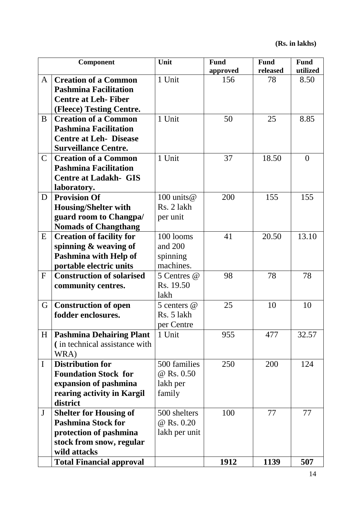|                | Component                        | Unit          | <b>Fund</b> | <b>Fund</b> | <b>Fund</b>    |
|----------------|----------------------------------|---------------|-------------|-------------|----------------|
|                |                                  |               | approved    | released    | utilized       |
| A              | <b>Creation of a Common</b>      | 1 Unit        | 156         | 78          | 8.50           |
|                | <b>Pashmina Facilitation</b>     |               |             |             |                |
|                | <b>Centre at Leh-Fiber</b>       |               |             |             |                |
|                | (Fleece) Testing Centre.         |               |             |             |                |
| B              | <b>Creation of a Common</b>      | 1 Unit        | 50          | 25          | 8.85           |
|                | <b>Pashmina Facilitation</b>     |               |             |             |                |
|                | <b>Centre at Leh- Disease</b>    |               |             |             |                |
|                | <b>Surveillance Centre.</b>      |               |             |             |                |
| $\overline{C}$ | <b>Creation of a Common</b>      | 1 Unit        | 37          | 18.50       | $\overline{0}$ |
|                | <b>Pashmina Facilitation</b>     |               |             |             |                |
|                | <b>Centre at Ladakh- GIS</b>     |               |             |             |                |
|                | laboratory.                      |               |             |             |                |
| D              | <b>Provision Of</b>              | 100 units $@$ | 200         | 155         | 155            |
|                | <b>Housing/Shelter with</b>      | Rs. 2 lakh    |             |             |                |
|                | guard room to Changpa/           | per unit      |             |             |                |
|                | <b>Nomads of Changthang</b>      |               |             |             |                |
| E              | <b>Creation of facility for</b>  | 100 looms     | 41          | 20.50       | 13.10          |
|                | spinning & weaving of            | and 200       |             |             |                |
|                | Pashmina with Help of            | spinning      |             |             |                |
|                | portable electric units          | machines.     |             |             |                |
| $\mathbf F$    | <b>Construction of solarised</b> | 5 Centres @   | 98          | 78          | 78             |
|                | community centres.               | Rs. 19.50     |             |             |                |
|                |                                  | lakh          |             |             |                |
| G              | <b>Construction of open</b>      | 5 centers @   | 25          | 10          | 10             |
|                | fodder enclosures.               | Rs. 5 lakh    |             |             |                |
|                |                                  | per Centre    |             |             |                |
| H              | <b>Pashmina Dehairing Plant</b>  | 1 Unit        | 955         | 477         | 32.57          |
|                | (in technical assistance with    |               |             |             |                |
|                | WRA)                             |               |             |             |                |
| $\mathbf I$    | <b>Distribution for</b>          | 500 families  | 250         | 200         | 124            |
|                | <b>Foundation Stock for</b>      | @ Rs. 0.50    |             |             |                |
|                | expansion of pashmina            | lakh per      |             |             |                |
|                | rearing activity in Kargil       | family        |             |             |                |
|                | district                         |               |             |             |                |
| $\mathbf{J}$   | <b>Shelter for Housing of</b>    | 500 shelters  | 100         | 77          | 77             |
|                | <b>Pashmina Stock for</b>        | @ Rs. 0.20    |             |             |                |
|                | protection of pashmina           | lakh per unit |             |             |                |
|                | stock from snow, regular         |               |             |             |                |
|                | wild attacks                     |               |             |             |                |
|                | <b>Total Financial approval</b>  |               | 1912        | 1139        | 507            |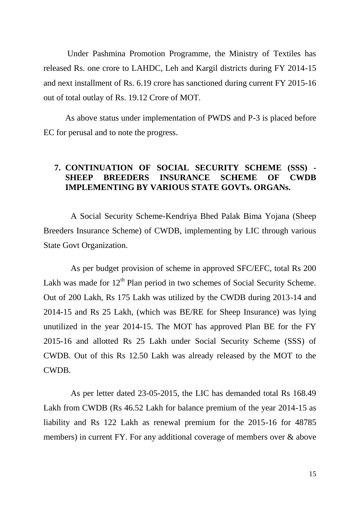Under Pashmina Promotion Programme, the Ministry of Textiles has released Rs. one crore to LAHDC, Leh and Kargil districts during FY 2014-15 and next installment of Rs. 6.19 crore has sanctioned during current FY 2015-16 out of total outlay of Rs. 19.12 Crore of MOT.

As above status under implementation of PWDS and P-3 is placed before EC for perusal and to note the progress.

#### **7. CONTINUATION OF SOCIAL SECURITY SCHEME (SSS) - SHEEP BREEDERS INSURANCE SCHEME OF CWDB IMPLEMENTING BY VARIOUS STATE GOVTs. ORGANs.**

A Social Security Scheme-Kendriya Bhed Palak Bima Yojana (Sheep Breeders Insurance Scheme) of CWDB, implementing by LIC through various State Govt Organization.

As per budget provision of scheme in approved SFC/EFC, total Rs 200 Lakh was made for  $12<sup>th</sup>$  Plan period in two schemes of Social Security Scheme. Out of 200 Lakh, Rs 175 Lakh was utilized by the CWDB during 2013-14 and 2014-15 and Rs 25 Lakh, (which was BE/RE for Sheep Insurance) was lying unutilized in the year 2014-15. The MOT has approved Plan BE for the FY 2015-16 and allotted Rs 25 Lakh under Social Security Scheme (SSS) of CWDB. Out of this Rs 12.50 Lakh was already released by the MOT to the CWDB.

As per letter dated 23-05-2015, the LIC has demanded total Rs 168.49 Lakh from CWDB (Rs 46.52 Lakh for balance premium of the year 2014-15 as liability and Rs 122 Lakh as renewal premium for the 2015-16 for 48785 members) in current FY. For any additional coverage of members over  $\&$  above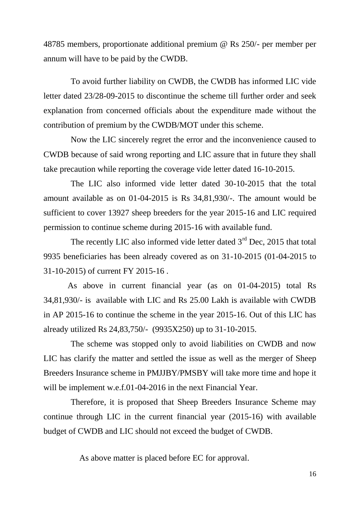48785 members, proportionate additional premium @ Rs 250/- per member per annum will have to be paid by the CWDB.

To avoid further liability on CWDB, the CWDB has informed LIC vide letter dated 23/28-09-2015 to discontinue the scheme till further order and seek explanation from concerned officials about the expenditure made without the contribution of premium by the CWDB/MOT under this scheme.

Now the LIC sincerely regret the error and the inconvenience caused to CWDB because of said wrong reporting and LIC assure that in future they shall take precaution while reporting the coverage vide letter dated 16-10-2015.

The LIC also informed vide letter dated 30-10-2015 that the total amount available as on 01-04-2015 is Rs 34,81,930/-. The amount would be sufficient to cover 13927 sheep breeders for the year 2015-16 and LIC required permission to continue scheme during 2015-16 with available fund.

The recently LIC also informed vide letter dated  $3<sup>rd</sup>$  Dec, 2015 that total 9935 beneficiaries has been already covered as on 31-10-2015 (01-04-2015 to 31-10-2015) of current FY 2015-16 .

As above in current financial year (as on 01-04-2015) total Rs 34,81,930/- is available with LIC and Rs 25.00 Lakh is available with CWDB in AP 2015-16 to continue the scheme in the year 2015-16. Out of this LIC has already utilized Rs 24,83,750/- (9935X250) up to 31-10-2015.

The scheme was stopped only to avoid liabilities on CWDB and now LIC has clarify the matter and settled the issue as well as the merger of Sheep Breeders Insurance scheme in PMJJBY/PMSBY will take more time and hope it will be implement w.e.f.01-04-2016 in the next Financial Year.

Therefore, it is proposed that Sheep Breeders Insurance Scheme may continue through LIC in the current financial year (2015-16) with available budget of CWDB and LIC should not exceed the budget of CWDB.

As above matter is placed before EC for approval.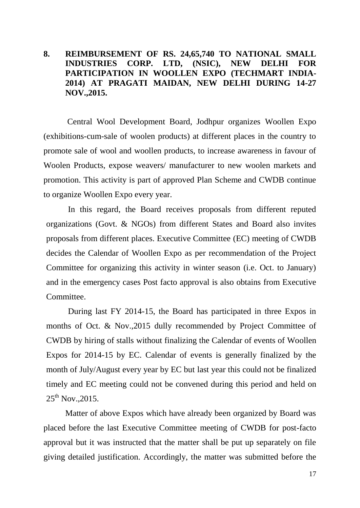#### **8. REIMBURSEMENT OF RS. 24,65,740 TO NATIONAL SMALL INDUSTRIES CORP. LTD, (NSIC), NEW DELHI FOR PARTICIPATION IN WOOLLEN EXPO (TECHMART INDIA-2014) AT PRAGATI MAIDAN, NEW DELHI DURING 14-27 NOV.,2015.**

Central Wool Development Board, Jodhpur organizes Woollen Expo (exhibitions-cum-sale of woolen products) at different places in the country to promote sale of wool and woollen products, to increase awareness in favour of Woolen Products, expose weavers/ manufacturer to new woolen markets and promotion. This activity is part of approved Plan Scheme and CWDB continue to organize Woollen Expo every year.

In this regard, the Board receives proposals from different reputed organizations (Govt. & NGOs) from different States and Board also invites proposals from different places. Executive Committee (EC) meeting of CWDB decides the Calendar of Woollen Expo as per recommendation of the Project Committee for organizing this activity in winter season (i.e. Oct. to January) and in the emergency cases Post facto approval is also obtains from Executive Committee.

During last FY 2014-15, the Board has participated in three Expos in months of Oct. & Nov.,2015 dully recommended by Project Committee of CWDB by hiring of stalls without finalizing the Calendar of events of Woollen Expos for 2014-15 by EC. Calendar of events is generally finalized by the month of July/August every year by EC but last year this could not be finalized timely and EC meeting could not be convened during this period and held on  $25^{th}$  Nov., 2015.

 Matter of above Expos which have already been organized by Board was placed before the last Executive Committee meeting of CWDB for post-facto approval but it was instructed that the matter shall be put up separately on file giving detailed justification. Accordingly, the matter was submitted before the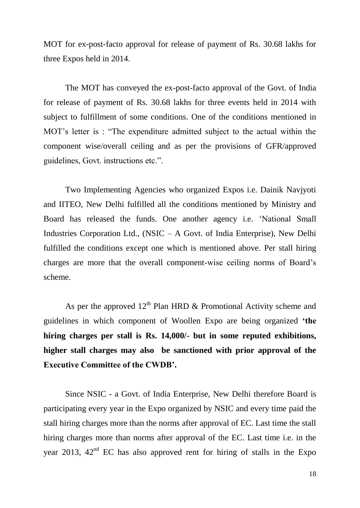MOT for ex-post-facto approval for release of payment of Rs. 30.68 lakhs for three Expos held in 2014.

The MOT has conveyed the ex-post-facto approval of the Govt. of India for release of payment of Rs. 30.68 lakhs for three events held in 2014 with subject to fulfillment of some conditions. One of the conditions mentioned in MOT"s letter is : "The expenditure admitted subject to the actual within the component wise/overall ceiling and as per the provisions of GFR/approved guidelines, Govt. instructions etc.".

Two Implementing Agencies who organized Expos i.e. Dainik Navjyoti and IITEO, New Delhi fulfilled all the conditions mentioned by Ministry and Board has released the funds. One another agency i.e. "National Small Industries Corporation Ltd., (NSIC – A Govt. of India Enterprise), New Delhi fulfilled the conditions except one which is mentioned above. Per stall hiring charges are more that the overall component-wise ceiling norms of Board"s scheme.

As per the approved  $12<sup>th</sup>$  Plan HRD & Promotional Activity scheme and guidelines in which component of Woollen Expo are being organized **'the hiring charges per stall is Rs. 14,000/- but in some reputed exhibitions, higher stall charges may also be sanctioned with prior approval of the Executive Committee of the CWDB'.** 

Since NSIC - a Govt. of India Enterprise, New Delhi therefore Board is participating every year in the Expo organized by NSIC and every time paid the stall hiring charges more than the norms after approval of EC. Last time the stall hiring charges more than norms after approval of the EC. Last time i.e. in the year 2013,  $42<sup>nd</sup>$  EC has also approved rent for hiring of stalls in the Expo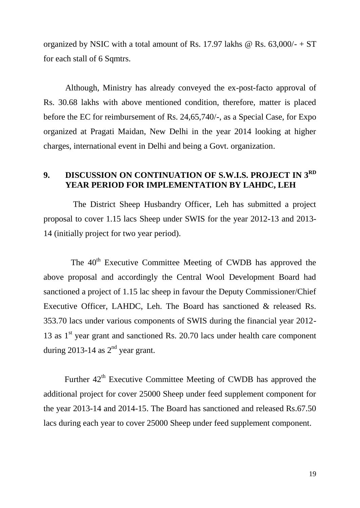organized by NSIC with a total amount of Rs. 17.97 lakhs  $\omega$  Rs. 63,000/- + ST for each stall of 6 Sqmtrs.

Although, Ministry has already conveyed the ex-post-facto approval of Rs. 30.68 lakhs with above mentioned condition, therefore, matter is placed before the EC for reimbursement of Rs. 24,65,740/-, as a Special Case, for Expo organized at Pragati Maidan, New Delhi in the year 2014 looking at higher charges, international event in Delhi and being a Govt. organization.

## **9. DISCUSSION ON CONTINUATION OF S.W.I.S. PROJECT IN 3RD YEAR PERIOD FOR IMPLEMENTATION BY LAHDC, LEH**

 The District Sheep Husbandry Officer, Leh has submitted a project proposal to cover 1.15 lacs Sheep under SWIS for the year 2012-13 and 2013- 14 (initially project for two year period).

The 40<sup>th</sup> Executive Committee Meeting of CWDB has approved the above proposal and accordingly the Central Wool Development Board had sanctioned a project of 1.15 lac sheep in favour the Deputy Commissioner/Chief Executive Officer, LAHDC, Leh. The Board has sanctioned & released Rs. 353.70 lacs under various components of SWIS during the financial year 2012- 13 as  $1<sup>st</sup>$  year grant and sanctioned Rs. 20.70 lacs under health care component during 2013-14 as  $2<sup>nd</sup>$  year grant.

Further  $42<sup>th</sup>$  Executive Committee Meeting of CWDB has approved the additional project for cover 25000 Sheep under feed supplement component for the year 2013-14 and 2014-15. The Board has sanctioned and released Rs.67.50 lacs during each year to cover 25000 Sheep under feed supplement component.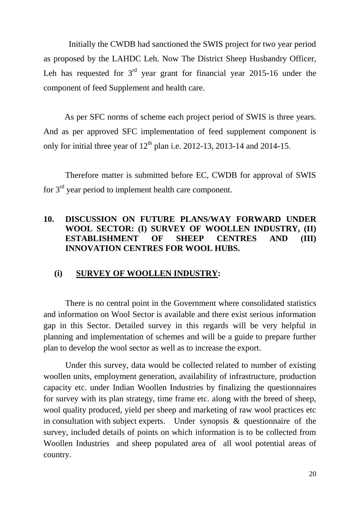Initially the CWDB had sanctioned the SWIS project for two year period as proposed by the LAHDC Leh. Now The District Sheep Husbandry Officer, Leh has requested for  $3<sup>rd</sup>$  year grant for financial year 2015-16 under the component of feed Supplement and health care.

 As per SFC norms of scheme each project period of SWIS is three years. And as per approved SFC implementation of feed supplement component is only for initial three year of  $12<sup>th</sup>$  plan i.e. 2012-13, 2013-14 and 2014-15.

Therefore matter is submitted before EC, CWDB for approval of SWIS for 3rd year period to implement health care component.

#### **10. DISCUSSION ON FUTURE PLANS/WAY FORWARD UNDER WOOL SECTOR: (I) SURVEY OF WOOLLEN INDUSTRY, (II) ESTABLISHMENT OF SHEEP CENTRES AND (III) INNOVATION CENTRES FOR WOOL HUBS.**

#### **(i) SURVEY OF WOOLLEN INDUSTRY:**

There is no central point in the Government where consolidated statistics and information on Wool Sector is available and there exist serious information gap in this Sector. Detailed survey in this regards will be very helpful in planning and implementation of schemes and will be a guide to prepare further plan to develop the wool sector as well as to increase the export.

Under this survey, data would be collected related to number of existing woollen units, employment generation, availability of infrastructure, production capacity etc. under Indian Woollen Industries by finalizing the questionnaires for survey with its plan strategy, time frame etc. along with the breed of sheep, wool quality produced, yield per sheep and marketing of raw wool practices etc in consultation with subject experts. Under synopsis & questionnaire of the survey, included details of points on which information is to be collected from Woollen Industries and sheep populated area of all wool potential areas of country.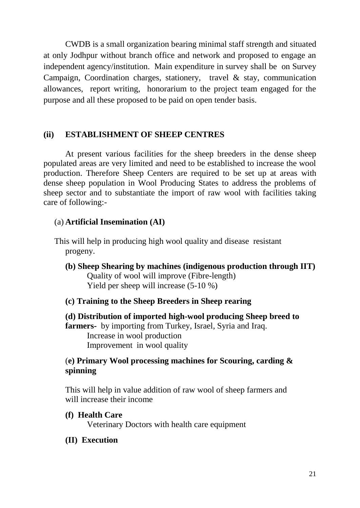CWDB is a small organization bearing minimal staff strength and situated at only Jodhpur without branch office and network and proposed to engage an independent agency/institution. Main expenditure in survey shall be on Survey Campaign, Coordination charges, stationery, travel & stay, communication allowances, report writing, honorarium to the project team engaged for the purpose and all these proposed to be paid on open tender basis.

#### **(ii) ESTABLISHMENT OF SHEEP CENTRES**

At present various facilities for the sheep breeders in the dense sheep populated areas are very limited and need to be established to increase the wool production. Therefore Sheep Centers are required to be set up at areas with dense sheep population in Wool Producing States to address the problems of sheep sector and to substantiate the import of raw wool with facilities taking care of following:-

#### (a) **Artificial Insemination (AI)**

This will help in producing high wool quality and disease resistant progeny.

- **(b) Sheep Shearing by machines (indigenous production through IIT)** Quality of wool will improve (Fibre-length) Yield per sheep will increase (5-10 %)
- **(c) Training to the Sheep Breeders in Sheep rearing**
- **(d) Distribution of imported high-wool producing Sheep breed to farmers-** by importing from Turkey, Israel, Syria and Iraq. Increase in wool production Improvement in wool quality

## (**e) Primary Wool processing machines for Scouring, carding & spinning**

This will help in value addition of raw wool of sheep farmers and will increase their income

**(f) Health Care**

Veterinary Doctors with health care equipment

**(II) Execution**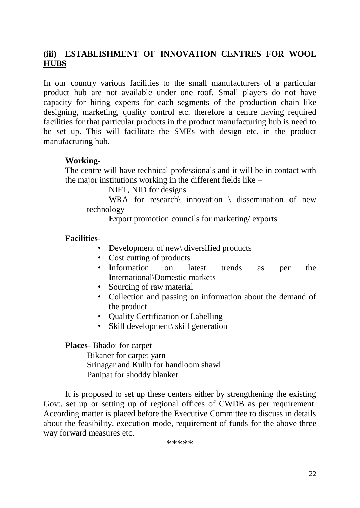## **(iii) ESTABLISHMENT OF INNOVATION CENTRES FOR WOOL HUBS**

In our country various facilities to the small manufacturers of a particular product hub are not available under one roof. Small players do not have capacity for hiring experts for each segments of the production chain like designing, marketing, quality control etc. therefore a centre having required facilities for that particular products in the product manufacturing hub is need to be set up. This will facilitate the SMEs with design etc. in the product manufacturing hub.

#### **Working-**

The centre will have technical professionals and it will be in contact with the major institutions working in the different fields like –

NIFT, NID for designs

WRA for research\ innovation \ dissemination of new technology

Export promotion councils for marketing/ exports

#### **Facilities-**

- Development of new \ diversified products
- Cost cutting of products
- Information on latest trends as per the International\Domestic markets
- Sourcing of raw material
- Collection and passing on information about the demand of the product
- Quality Certification or Labelling
- Skill development\ skill generation

**Places-** Bhadoi for carpet

Bikaner for carpet yarn Srinagar and Kullu for handloom shawl Panipat for shoddy blanket

It is proposed to set up these centers either by strengthening the existing Govt. set up or setting up of regional offices of CWDB as per requirement. According matter is placed before the Executive Committee to discuss in details about the feasibility, execution mode, requirement of funds for the above three way forward measures etc.

\*\*\*\*\*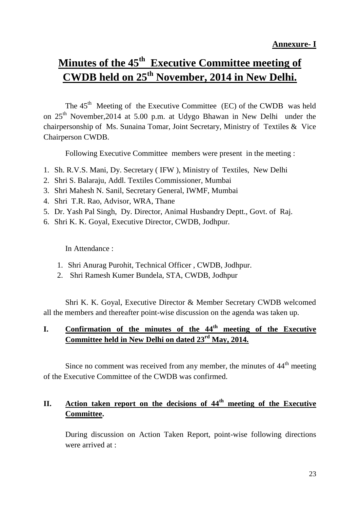## **Minutes of the 45th Executive Committee meeting of CWDB held on 25th November, 2014 in New Delhi.**

The  $45<sup>th</sup>$  Meeting of the Executive Committee (EC) of the CWDB was held on 25<sup>th</sup> November, 2014 at 5.00 p.m. at Udygo Bhawan in New Delhi under the chairpersonship of Ms. Sunaina Tomar, Joint Secretary, Ministry of Textiles & Vice Chairperson CWDB.

Following Executive Committee members were present in the meeting :

- 1. Sh. R.V.S. Mani, Dy. Secretary ( IFW ), Ministry of Textiles, New Delhi
- 2. Shri S. Balaraju, Addl. Textiles Commissioner, Mumbai
- 3. Shri Mahesh N. Sanil, Secretary General, IWMF, Mumbai
- 4. Shri T.R. Rao, Advisor, WRA, Thane
- 5. Dr. Yash Pal Singh, Dy. Director, Animal Husbandry Deptt., Govt. of Raj.
- 6. Shri K. K. Goyal, Executive Director, CWDB, Jodhpur.

In Attendance :

- 1. Shri Anurag Purohit, Technical Officer , CWDB, Jodhpur.
- 2. Shri Ramesh Kumer Bundela, STA, CWDB, Jodhpur

Shri K. K. Goyal, Executive Director & Member Secretary CWDB welcomed all the members and thereafter point-wise discussion on the agenda was taken up.

## **I. Confirmation of the minutes of the 44th meeting of the Executive Committee held in New Delhi on dated 23rd May, 2014.**

Since no comment was received from any member, the minutes of  $44<sup>th</sup>$  meeting of the Executive Committee of the CWDB was confirmed.

## **II. Action taken report on the decisions of 44th meeting of the Executive Committee.**

During discussion on Action Taken Report, point-wise following directions were arrived at :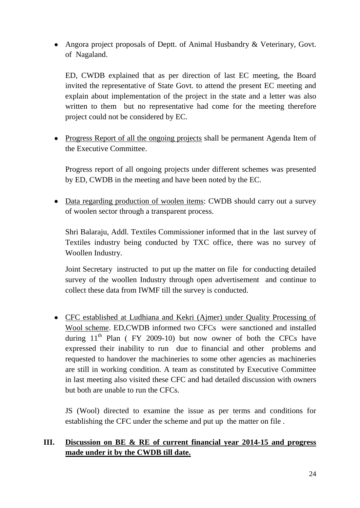• Angora project proposals of Deptt. of Animal Husbandry & Veterinary, Govt. of Nagaland.

ED, CWDB explained that as per direction of last EC meeting, the Board invited the representative of State Govt. to attend the present EC meeting and explain about implementation of the project in the state and a letter was also written to them but no representative had come for the meeting therefore project could not be considered by EC.

• Progress Report of all the ongoing projects shall be permanent Agenda Item of the Executive Committee.

Progress report of all ongoing projects under different schemes was presented by ED, CWDB in the meeting and have been noted by the EC.

• Data regarding production of woolen items: CWDB should carry out a survey of woolen sector through a transparent process.

Shri Balaraju, Addl. Textiles Commissioner informed that in the last survey of Textiles industry being conducted by TXC office, there was no survey of Woollen Industry.

Joint Secretary instructed to put up the matter on file for conducting detailed survey of the woollen Industry through open advertisement and continue to collect these data from IWMF till the survey is conducted.

CFC established at Ludhiana and Kekri (Ajmer) under Quality Processing of Wool scheme. ED,CWDB informed two CFCs were sanctioned and installed during  $11<sup>th</sup>$  Plan (FY 2009-10) but now owner of both the CFCs have expressed their inability to run due to financial and other problems and requested to handover the machineries to some other agencies as machineries are still in working condition. A team as constituted by Executive Committee in last meeting also visited these CFC and had detailed discussion with owners but both are unable to run the CFCs.

JS (Wool) directed to examine the issue as per terms and conditions for establishing the CFC under the scheme and put up the matter on file .

#### **III. Discussion on BE & RE of current financial year 2014-15 and progress made under it by the CWDB till date.**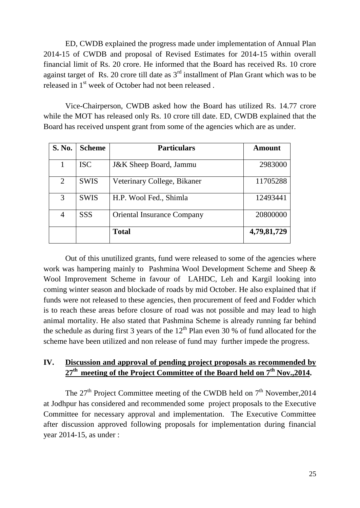ED, CWDB explained the progress made under implementation of Annual Plan 2014-15 of CWDB and proposal of Revised Estimates for 2014-15 within overall financial limit of Rs. 20 crore. He informed that the Board has received Rs. 10 crore against target of Rs. 20 crore till date as  $3<sup>rd</sup>$  installment of Plan Grant which was to be released in 1<sup>st</sup> week of October had not been released.

Vice-Chairperson, CWDB asked how the Board has utilized Rs. 14.77 crore while the MOT has released only Rs. 10 crore till date. ED, CWDB explained that the Board has received unspent grant from some of the agencies which are as under.

| <b>S. No.</b> | <b>Scheme</b> | <b>Particulars</b>                | Amount      |
|---------------|---------------|-----------------------------------|-------------|
|               | <b>ISC</b>    | <b>J&amp;K</b> Sheep Board, Jammu | 2983000     |
| 2             | <b>SWIS</b>   | Veterinary College, Bikaner       | 11705288    |
| 3             | <b>SWIS</b>   | H.P. Wool Fed., Shimla            | 12493441    |
| 4             | <b>SSS</b>    | <b>Oriental Insurance Company</b> | 20800000    |
|               |               | <b>Total</b>                      | 4,79,81,729 |

Out of this unutilized grants, fund were released to some of the agencies where work was hampering mainly to Pashmina Wool Development Scheme and Sheep & Wool Improvement Scheme in favour of LAHDC, Leh and Kargil looking into coming winter season and blockade of roads by mid October. He also explained that if funds were not released to these agencies, then procurement of feed and Fodder which is to reach these areas before closure of road was not possible and may lead to high animal mortality. He also stated that Pashmina Scheme is already running far behind the schedule as during first 3 years of the  $12<sup>th</sup>$  Plan even 30 % of fund allocated for the scheme have been utilized and non release of fund may further impede the progress.

## **IV. Discussion and approval of pending project proposals as recommended by 27th meeting of the Project Committee of the Board held on 7th Nov.,2014.**

The  $27<sup>th</sup>$  Project Committee meeting of the CWDB held on  $7<sup>th</sup>$  November, 2014 at Jodhpur has considered and recommended some project proposals to the Executive Committee for necessary approval and implementation. The Executive Committee after discussion approved following proposals for implementation during financial year 2014-15, as under :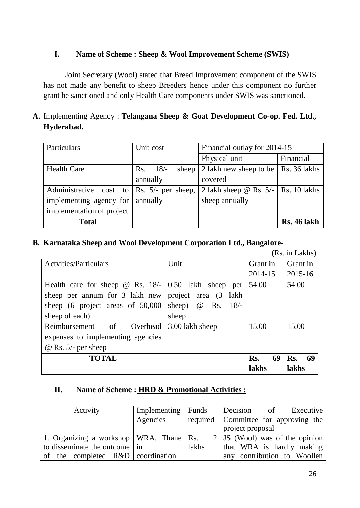#### **I. Name of Scheme : Sheep & Wool Improvement Scheme (SWIS)**

Joint Secretary (Wool) stated that Breed Improvement component of the SWIS has not made any benefit to sheep Breeders hence under this component no further grant be sanctioned and only Health Care components under SWIS was sanctioned.

## **A.** Implementing Agency : **Telangana Sheep & Goat Development Co-op. Fed. Ltd., Hyderabad.**

| <b>Total</b>                                                     |                   |                                         | <b>Rs. 46 lakh</b> |
|------------------------------------------------------------------|-------------------|-----------------------------------------|--------------------|
| implementation of project                                        |                   |                                         |                    |
| implementing agency for                                          | annually          | sheep annually                          |                    |
| Administrative cost to $\left  \text{Rs. } 5 \right $ per sheep, |                   | 2 lakh sheep @ Rs. $5/-$   Rs. 10 lakhs |                    |
|                                                                  | annually          | covered                                 |                    |
| <b>Health Care</b>                                               | Rs. 18/–<br>sheep | 2 lakh new sheep to be   Rs. 36 lakhs   |                    |
|                                                                  |                   | Physical unit                           | Financial          |
| Particulars                                                      | Unit cost         | Financial outlay for 2014-15            |                    |

#### **B. Karnataka Sheep and Wool Development Corporation Ltd., Bangalore-**

(Rs. in Lakhs)

| <b>Actyities/Particulars</b>                                | Unit                     | Grant in  | Grant in  |
|-------------------------------------------------------------|--------------------------|-----------|-----------|
|                                                             |                          | 2014-15   | 2015-16   |
| Health care for sheep $\omega$ Rs. 18/- 0.50 lakh sheep per |                          | 54.00     | 54.00     |
| sheep per annum for 3 lakh new                              | project area (3 lakh)    |           |           |
| sheep (6 project areas of 50,000                            | sheep) $\omega$ Rs. 18/- |           |           |
| sheep of each)                                              | sheep                    |           |           |
| Reimbursement of<br>Overhead                                | 3.00 lakh sheep          | 15.00     | 15.00     |
| expenses to implementing agencies                           |                          |           |           |
| $\omega$ Rs. 5/- per sheep                                  |                          |           |           |
| <b>TOTAL</b>                                                |                          | 69<br>Rs. | 69<br>Rs. |
|                                                             |                          | lakhs     | lakhs     |

#### **II. Name of Scheme : HRD & Promotional Activities :**

| Activity                                    | Implementing | Funds | Decision<br>of<br>Executive            |
|---------------------------------------------|--------------|-------|----------------------------------------|
|                                             | Agencies     |       | required   Committee for approving the |
|                                             |              |       | project proposal                       |
| 1. Organizing a workshop   WRA, Thane   Rs. |              |       | $2$ JS (Wool) was of the opinion       |
| to disseminate the outcome in               |              | lakhs | that WRA is hardly making              |
| of the completed $R&D$ coordination         |              |       | any contribution to Woollen            |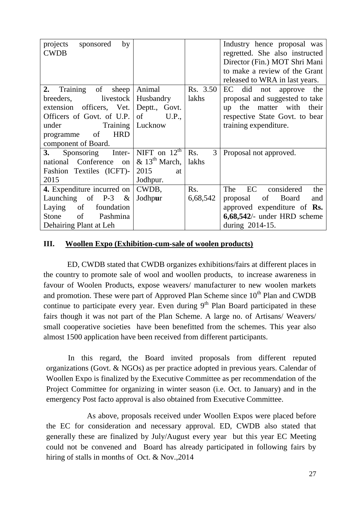| by<br>projects<br>sponsored |                              |          | Industry hence proposal was        |
|-----------------------------|------------------------------|----------|------------------------------------|
| <b>CWDB</b>                 |                              |          | regretted. She also instructed     |
|                             |                              |          | Director (Fin.) MOT Shri Mani      |
|                             |                              |          | to make a review of the Grant      |
|                             |                              |          | released to WRA in last years.     |
| Training of<br>2.<br>sheep  | Animal                       | Rs. 3.50 | EC did not approve the             |
| breeders, livestock         | Husbandry                    | lakhs    | proposal and suggested to take     |
| extension officers, Vet.    | Deptt., Govt.                |          | up the matter with their           |
| Officers of Govt. of U.P.   | U.P.,<br>of                  |          | respective State Govt. to bear     |
| under<br>Training           | Lucknow                      |          | training expenditure.              |
| <b>HRD</b><br>programme of  |                              |          |                                    |
| component of Board.         |                              |          |                                    |
| 3. Sponsoring Inter-        | NIFT on $12^{\text{th}}$     | 3<br>Rs. | Proposal not approved.             |
| national Conference on      | $\&$ 13 <sup>th</sup> March, | lakhs    |                                    |
| Fashion Textiles (ICFT)-    | 2015<br>at                   |          |                                    |
| 2015                        | Jodhpur.                     |          |                                    |
| 4. Expenditure incurred on  | CWDB,                        | Rs.      | considered<br>EC<br>The<br>the     |
| Launching of P-3 $\&$       | Jodhpur                      | 6,68,542 | proposal of Board<br>and           |
| Laying of<br>foundation     |                              |          | approved expenditure of <b>Rs.</b> |
| Stone of Pashmina           |                              |          | $6,68,542/$ - under HRD scheme     |
| Dehairing Plant at Leh      |                              |          | during 2014-15.                    |

#### **III. Woollen Expo (Exhibition-cum-sale of woolen products)**

ED, CWDB stated that CWDB organizes exhibitions/fairs at different places in the country to promote sale of wool and woollen products, to increase awareness in favour of Woolen Products, expose weavers/ manufacturer to new woolen markets and promotion. These were part of Approved Plan Scheme since  $10<sup>th</sup>$  Plan and CWDB continue to participate every year. Even during  $9<sup>th</sup>$  Plan Board participated in these fairs though it was not part of the Plan Scheme. A large no. of Artisans/ Weavers/ small cooperative societies have been benefitted from the schemes. This year also almost 1500 application have been received from different participants.

In this regard, the Board invited proposals from different reputed organizations (Govt. & NGOs) as per practice adopted in previous years. Calendar of Woollen Expo is finalized by the Executive Committee as per recommendation of the Project Committee for organizing in winter season (i.e. Oct. to January) and in the emergency Post facto approval is also obtained from Executive Committee.

As above, proposals received under Woollen Expos were placed before the EC for consideration and necessary approval. ED, CWDB also stated that generally these are finalized by July/August every year but this year EC Meeting could not be convened and Board has already participated in following fairs by hiring of stalls in months of Oct. & Nov., 2014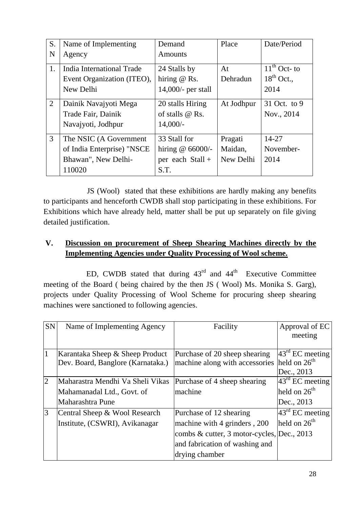| S.             | Name of Implementing       | Demand               | Place      | Date/Period     |
|----------------|----------------------------|----------------------|------------|-----------------|
| N              | Agency                     | <b>Amounts</b>       |            |                 |
| 1.             | India International Trade  | 24 Stalls by         | At         | $11th$ Oct- to  |
|                | Event Organization (ITEO), | hiring $@$ Rs.       | Dehradun   | $18^{th}$ Oct., |
|                | New Delhi                  | $14,000$ - per stall |            | 2014            |
| $\overline{2}$ | Dainik Navajyoti Mega      | 20 stalls Hiring     | At Jodhpur | 31 Oct. to 9    |
|                | Trade Fair, Dainik         | of stalls $@$ Rs.    |            | Nov., 2014      |
|                | Navajyoti, Jodhpur         | $14,000/-$           |            |                 |
| 3              | The NSIC (A Government     | 33 Stall for         | Pragati    | 14-27           |
|                | of India Enterprise) "NSCE | hiring $@66000$ .    | Maidan,    | November-       |
|                | Bhawan", New Delhi-        | per each Stall +     | New Delhi  | 2014            |
|                | 110020                     | S.T.                 |            |                 |

JS (Wool) stated that these exhibitions are hardly making any benefits to participants and henceforth CWDB shall stop participating in these exhibitions. For Exhibitions which have already held, matter shall be put up separately on file giving detailed justification.

## **V. Discussion on procurement of Sheep Shearing Machines directly by the Implementing Agencies under Quality Processing of Wool scheme.**

ED, CWDB stated that during  $43<sup>rd</sup>$  and  $44<sup>th</sup>$  Executive Committee meeting of the Board ( being chaired by the then JS ( Wool) Ms. Monika S. Garg), projects under Quality Processing of Wool Scheme for procuring sheep shearing machines were sanctioned to following agencies.

| <b>SN</b>      | Name of Implementing Agency       | Facility                                   | Approval of EC              |
|----------------|-----------------------------------|--------------------------------------------|-----------------------------|
|                |                                   |                                            | meeting                     |
|                |                                   |                                            |                             |
|                | Karantaka Sheep & Sheep Product   | Purchase of 20 sheep shearing              | $43^{\text{rd}}$ EC meeting |
|                | Dev. Board, Banglore (Karnataka.) | machine along with accessories             | held on $26th$              |
|                |                                   |                                            | Dec., 2013                  |
| $\overline{2}$ | Maharastra Mendhi Va Sheli Vikas  | Purchase of 4 sheep shearing               | $43^{\text{rd}}$ EC meeting |
|                | Mahamanadal Ltd., Govt. of        | machine                                    | held on $26^{\text{th}}$    |
|                | Maharashtra Pune                  |                                            | Dec., 2013                  |
| 3              | Central Sheep & Wool Research     | Purchase of 12 shearing                    | $43^{\text{rd}}$ EC meeting |
|                | Institute, (CSWRI), Avikanagar    | machine with 4 grinders, 200               | held on $26th$              |
|                |                                   | combs & cutter, 3 motor-cycles, Dec., 2013 |                             |
|                |                                   | and fabrication of washing and             |                             |
|                |                                   | drying chamber                             |                             |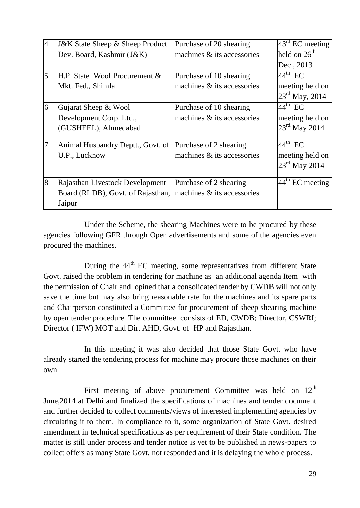| $\overline{4}$ | <b>J&amp;K State Sheep &amp; Sheep Product</b> | Purchase of 20 shearing           | $\sqrt{4}3^{\text{rd}}$ EC meeting |
|----------------|------------------------------------------------|-----------------------------------|------------------------------------|
|                | Dev. Board, Kashmir (J&K)                      | machines & its accessories        | held on $26th$                     |
|                |                                                |                                   | Dec., 2013                         |
| $\overline{5}$ | H.P. State Wool Procurement &                  | Purchase of 10 shearing           | $44^{\text{th}}$ EC                |
|                | Mkt. Fed., Shimla                              | machines & its accessories        | meeting held on                    |
|                |                                                |                                   | $23^{\text{rd}}$ May, 2014         |
| 6              | Gujarat Sheep & Wool                           | Purchase of 10 shearing           | $44^{\text{th}}$ EC                |
|                | Development Corp. Ltd.,                        | machines & its accessories        | meeting held on                    |
|                | (GUSHEEL), Ahmedabad                           |                                   | $23rd$ May 2014                    |
| $\overline{7}$ | Animal Husbandry Deptt., Govt. of              | Purchase of 2 shearing            | $44^{\text{th}}$ EC                |
|                | U.P., Lucknow                                  | machines & its accessories        | meeting held on                    |
|                |                                                |                                   | $23^{\text{rd}}$ May 2014          |
| 8              | Rajasthan Livestock Development                | Purchase of 2 shearing            | $44^{\text{th}}$ EC meeting        |
|                | Board (RLDB), Govt. of Rajasthan,              | $ $ machines $\&$ its accessories |                                    |
|                | Jaipur                                         |                                   |                                    |

Under the Scheme, the shearing Machines were to be procured by these agencies following GFR through Open advertisements and some of the agencies even procured the machines.

During the  $44<sup>th</sup>$  EC meeting, some representatives from different State Govt. raised the problem in tendering for machine as an additional agenda Item with the permission of Chair and opined that a consolidated tender by CWDB will not only save the time but may also bring reasonable rate for the machines and its spare parts and Chairperson constituted a Committee for procurement of sheep shearing machine by open tender procedure. The committee consists of ED, CWDB; Director, CSWRI; Director ( IFW) MOT and Dir. AHD, Govt. of HP and Rajasthan.

In this meeting it was also decided that those State Govt. who have already started the tendering process for machine may procure those machines on their own.

First meeting of above procurement Committee was held on  $12<sup>th</sup>$ June,2014 at Delhi and finalized the specifications of machines and tender document and further decided to collect comments/views of interested implementing agencies by circulating it to them. In compliance to it, some organization of State Govt. desired amendment in technical specifications as per requirement of their State condition. The matter is still under process and tender notice is yet to be published in news-papers to collect offers as many State Govt. not responded and it is delaying the whole process.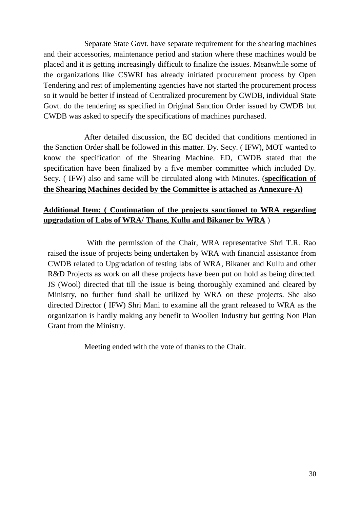Separate State Govt. have separate requirement for the shearing machines and their accessories, maintenance period and station where these machines would be placed and it is getting increasingly difficult to finalize the issues. Meanwhile some of the organizations like CSWRI has already initiated procurement process by Open Tendering and rest of implementing agencies have not started the procurement process so it would be better if instead of Centralized procurement by CWDB, individual State Govt. do the tendering as specified in Original Sanction Order issued by CWDB but CWDB was asked to specify the specifications of machines purchased.

After detailed discussion, the EC decided that conditions mentioned in the Sanction Order shall be followed in this matter. Dy. Secy. ( IFW), MOT wanted to know the specification of the Shearing Machine. ED, CWDB stated that the specification have been finalized by a five member committee which included Dy. Secy. ( IFW) also and same will be circulated along with Minutes. (**specification of the Shearing Machines decided by the Committee is attached as Annexure-A)**

#### **Additional Item: ( Continuation of the projects sanctioned to WRA regarding upgradation of Labs of WRA/ Thane, Kullu and Bikaner by WRA** )

With the permission of the Chair, WRA representative Shri T.R. Rao raised the issue of projects being undertaken by WRA with financial assistance from CWDB related to Upgradation of testing labs of WRA, Bikaner and Kullu and other R&D Projects as work on all these projects have been put on hold as being directed. JS (Wool) directed that till the issue is being thoroughly examined and cleared by Ministry, no further fund shall be utilized by WRA on these projects. She also directed Director ( IFW) Shri Mani to examine all the grant released to WRA as the organization is hardly making any benefit to Woollen Industry but getting Non Plan Grant from the Ministry.

Meeting ended with the vote of thanks to the Chair.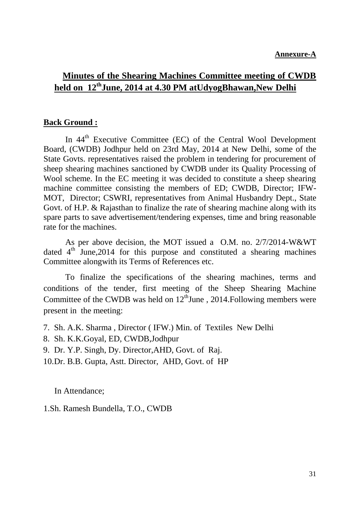## **Minutes of the Shearing Machines Committee meeting of CWDB held on 12thJune, 2014 at 4.30 PM atUdyogBhawan,New Delhi**

#### **Back Ground :**

In 44<sup>th</sup> Executive Committee (EC) of the Central Wool Development Board, (CWDB) Jodhpur held on 23rd May, 2014 at New Delhi, some of the State Govts. representatives raised the problem in tendering for procurement of sheep shearing machines sanctioned by CWDB under its Quality Processing of Wool scheme. In the EC meeting it was decided to constitute a sheep shearing machine committee consisting the members of ED; CWDB, Director; IFW-MOT, Director; CSWRI, representatives from Animal Husbandry Dept., State Govt. of H.P. & Rajasthan to finalize the rate of shearing machine along with its spare parts to save advertisement/tendering expenses, time and bring reasonable rate for the machines.

As per above decision, the MOT issued a O.M. no. 2/7/2014-W&WT dated  $4<sup>th</sup>$  June, 2014 for this purpose and constituted a shearing machines Committee alongwith its Terms of References etc.

To finalize the specifications of the shearing machines, terms and conditions of the tender, first meeting of the Sheep Shearing Machine Committee of the CWDB was held on  $12^{\text{th}}$ June, 2014. Following members were present in the meeting:

- 7. Sh. A.K. Sharma , Director ( IFW.) Min. of Textiles New Delhi
- 8. Sh. K.K.Goyal, ED, CWDB,Jodhpur
- 9. Dr. Y.P. Singh, Dy. Director,AHD, Govt. of Raj.
- 10.Dr. B.B. Gupta, Astt. Director, AHD, Govt. of HP

In Attendance;

1.Sh. Ramesh Bundella, T.O., CWDB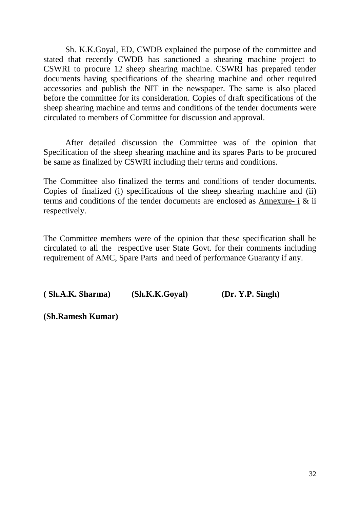Sh. K.K.Goyal, ED, CWDB explained the purpose of the committee and stated that recently CWDB has sanctioned a shearing machine project to CSWRI to procure 12 sheep shearing machine. CSWRI has prepared tender documents having specifications of the shearing machine and other required accessories and publish the NIT in the newspaper. The same is also placed before the committee for its consideration. Copies of draft specifications of the sheep shearing machine and terms and conditions of the tender documents were circulated to members of Committee for discussion and approval.

After detailed discussion the Committee was of the opinion that Specification of the sheep shearing machine and its spares Parts to be procured be same as finalized by CSWRI including their terms and conditions.

The Committee also finalized the terms and conditions of tender documents. Copies of finalized (i) specifications of the sheep shearing machine and (ii) terms and conditions of the tender documents are enclosed as Annexure- i & ii respectively.

The Committee members were of the opinion that these specification shall be circulated to all the respective user State Govt. for their comments including requirement of AMC, Spare Parts and need of performance Guaranty if any.

**( Sh.A.K. Sharma) (Sh.K.K.Goyal) (Dr. Y.P. Singh)** 

**(Sh.Ramesh Kumar)**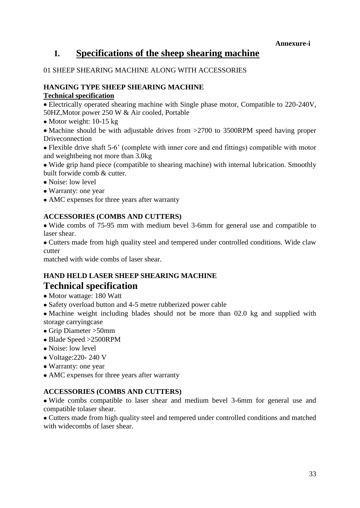## **I. Specifications of the sheep shearing machine**

#### 01 SHEEP SHEARING MACHINE ALONG WITH ACCESSORIES

#### **HANGING TYPE SHEEP SHEARING MACHINE Technical specification**

Electrically operated shearing machine with Single phase motor, Compatible to 220-240V, 50HZ,Motor power 250 W & Air cooled, Portable

• Motor weight: 10-15 kg

• Machine should be with adjustable drives from >2700 to 3500RPM speed having proper Driveconnection

Flexible drive shaft 5-6" (complete with inner core and end fittings) compatible with motor and weightbeing not more than 3.0kg

Wide grip hand piece (compatible to shearing machine) with internal lubrication. Smoothly built forwide comb & cutter.

- Noise: low level
- Warranty: one year
- AMC expenses for three years after warranty

#### **ACCESSORIES (COMBS AND CUTTERS)**

Wide combs of 75-95 mm with medium bevel 3-6mm for general use and compatible to laser shear.

Cutters made from high quality steel and tempered under controlled conditions. Wide claw cutter

matched with wide combs of laser shear.

#### **HAND HELD LASER SHEEP SHEARING MACHINE Technical specification**

- Motor wattage: 180 Watt
- Safety overload button and 4-5 metre rubberized power cable

• Machine weight including blades should not be more than 02.0 kg and supplied with storage carryingcase

- Grip Diameter >50mm
- Blade Speed >2500RPM
- Noise: low level
- Voltage:220- 240 V
- Warranty: one year
- AMC expenses for three years after warranty

#### **ACCESSORIES (COMBS AND CUTTERS)**

Wide combs compatible to laser shear and medium bevel 3-6mm for general use and compatible tolaser shear.

Cutters made from high quality steel and tempered under controlled conditions and matched with widecombs of laser shear.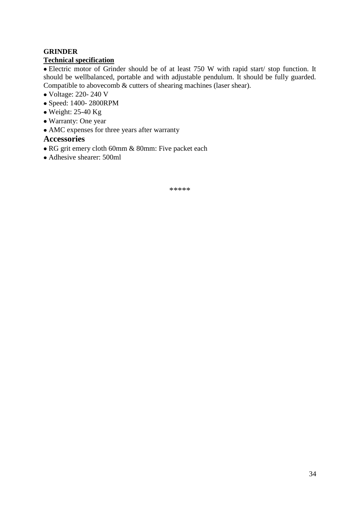#### **GRINDER**

#### **Technical specification**

Electric motor of Grinder should be of at least 750 W with rapid start/ stop function. It should be wellbalanced, portable and with adjustable pendulum. It should be fully guarded. Compatible to abovecomb & cutters of shearing machines (laser shear).

- Voltage: 220- 240 V
- Speed: 1400- 2800RPM
- $\bullet$  Weight: 25-40 Kg
- Warranty: One year
- AMC expenses for three years after warranty

#### **Accessories**

- RG grit emery cloth 60mm & 80mm: Five packet each
- Adhesive shearer: 500ml

\*\*\*\*\*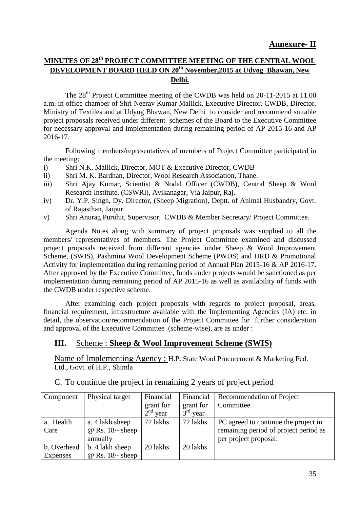#### **MINUTES OF 28th PROJECT COMMITTEE MEETING OF THE CENTRAL WOOL DEVELOPMENT BOARD HELD ON 20th November,2015 at Udyog Bhawan, New Delhi.**

The 28<sup>th</sup> Project Committee meeting of the CWDB was held on 20-11-2015 at 11.00 a.m. in office chamber of Shri Neerav Kumar Mallick, Executive Director, CWDB, Director, Ministry of Textiles and at Udyog Bhawan, New Delhi to consider and recommend suitable project proposals received under different schemes of the Board to the Executive Committee for necessary approval and implementation during remaining period of AP 2015-16 and AP 2016-17.

Following members/representatives of members of Project Committee participated in the meeting:

- i) Shri N.K. Mallick, Director, MOT & Executive Director, CWDB
- ii) Shri M. K. Bardhan, Director, Wool Research Association, Thane.
- iii) Shri Ajay Kumar, Scientist & Nodal Officer (CWDB), Central Sheep & Wool Research Institute, (CSWRI), Avikanagar, Via Jaipur, Raj.
- iv) Dr. Y.P. Singh, Dy. Director, (Sheep Migration), Deptt. of Animal Husbandry, Govt. of Rajasthan, Jaipur.
- v) Shri Anurag Purohit, Supervisor, CWDB & Member Secretary/ Project Committee.

Agenda Notes along with summary of project proposals was supplied to all the members/ representatives of members. The Project Committee examined and discussed project proposals received from different agencies under Sheep & Wool Improvement Scheme, (SWIS), Pashmina Wool Development Scheme (PWDS) and HRD & Promotional Activity for implementation during remaining period of Annual Plan 2015-16 & AP 2016-17. After approved by the Executive Committee, funds under projects would be sanctioned as per implementation during remaining period of AP 2015-16 as well as availability of funds with the CWDB under respective scheme.

After examining each project proposals with regards to project proposal, areas, financial requirement, infrastructure available with the Implementing Agencies (IA) etc. in detail, the observation/recommendation of the Project Committee for further consideration and approval of the Executive Committee (scheme-wise), are as under :

#### **III.** Scheme : **Sheep & Wool Improvement Scheme (SWIS)**

Name of Implementing Agency : H.P. State Wool Procurement & Marketing Fed. Ltd., Govt. of H.P., Shimla

| Component   | Physical target         | Financial                        | Financial               | <b>Recommendation of Project</b>      |
|-------------|-------------------------|----------------------------------|-------------------------|---------------------------------------|
|             |                         | grant for                        | grant for               | Committee                             |
|             |                         | $\gamma$ <sup>nd</sup> .<br>year | $3^{\text{rd}}$<br>year |                                       |
| a. Health   | a. 4 lakh sheep         | 72 lakhs                         | 72 lakhs                | PC agreed to continue the project in  |
| Care        | $@$ Rs. 18/- sheep      |                                  |                         | remaining period of project period as |
|             | annually                |                                  |                         | per project proposal.                 |
| b. Overhead | b. 4 lakh sheep         | 20 lakhs                         | 20 lakhs                |                                       |
| Expenses    | $\omega$ Rs. 18/- sheep |                                  |                         |                                       |

C. To continue the project in remaining 2 years of project period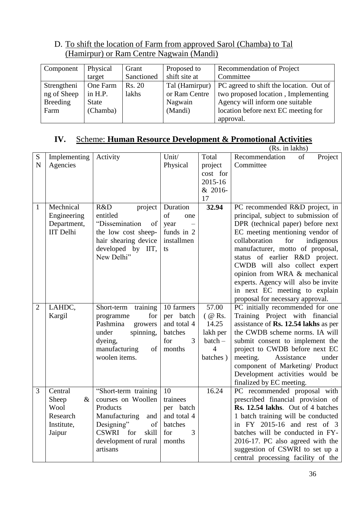## D. To shift the location of Farm from approved Sarol (Chamba) to Tal (Hamirpur) or Ram Centre Nagwain (Mandi)

| Component       | Physical     | Grant      | Proposed to    | Recommendation of Project               |
|-----------------|--------------|------------|----------------|-----------------------------------------|
|                 | target       | Sanctioned | shift site at  | Committee                               |
| Strengtheni     | One Farm     | Rs. 20     | Tal (Hamirpur) | PC agreed to shift the location. Out of |
| ng of Sheep     | in $H.P.$    | lakhs      | or Ram Centre  | two proposed location, Implementing     |
| <b>Breeding</b> | <b>State</b> |            | Nagwain        | Agency will inform one suitable         |
| Farm            | (Chamba)     |            | (Mandi)        | location before next EC meeting for     |
|                 |              |            |                | approval.                               |

## **IV.** Scheme: **Human Resource Development & Promotional Activities**

|                |                  |                                 |             |                | (Rs. in lakhs)                       |
|----------------|------------------|---------------------------------|-------------|----------------|--------------------------------------|
| S              | Implementing     | Activity                        | Unit/       | Total          | Recommendation<br>of<br>Project      |
| $\mathbf N$    | Agencies         |                                 | Physical    | project        | Committee                            |
|                |                  |                                 |             | cost for       |                                      |
|                |                  |                                 |             | 2015-16        |                                      |
|                |                  |                                 |             | & 2016-        |                                      |
|                |                  |                                 |             | 17             |                                      |
| 1              | Mechnical        | R&D<br>project                  | Duration    | 32.94          | PC recommended R&D project, in       |
|                | Engineering      | entitled                        | of<br>one   |                | principal, subject to submission of  |
|                | Department,      | "Dissemination<br>of            | year        |                | DPR (technical paper) before next    |
|                | <b>IIT</b> Delhi | the low cost sheep-             | funds in 2  |                | EC meeting mentioning vendor of      |
|                |                  | hair shearing device            | installmen  |                | collaboration<br>for<br>indigenous   |
|                |                  | developed by IIT,               | ts          |                | manufacturer, motto of proposal,     |
|                |                  | New Delhi"                      |             |                | status of earlier R&D project.       |
|                |                  |                                 |             |                | CWDB will also collect expert        |
|                |                  |                                 |             |                | opinion from WRA & mechanical        |
|                |                  |                                 |             |                | experts. Agency will also be invite  |
|                |                  |                                 |             |                | in next EC meeting to explain        |
|                |                  |                                 |             |                | proposal for necessary approval.     |
| $\overline{2}$ | LAHDC,           | Short-term<br>training          | 10 farmers  | 57.00          | PC initially recommended for one     |
|                | Kargil           | for<br>programme                | per batch   | $($ @ Rs.      | Training Project with financial      |
|                |                  | Pashmina<br>growers             | and total 4 | 14.25          | assistance of Rs. 12.54 lakhs as per |
|                |                  | spinning,<br>under              | batches     | lakh per       | the CWDB scheme norms. IA will       |
|                |                  | dyeing,                         | 3<br>for    | $batch -$      | submit consent to implement the      |
|                |                  | manufacturing<br>of             | months      | $\overline{4}$ | project to CWDB before next EC       |
|                |                  | woolen items.                   |             | batches)       | meeting.<br>Assistance<br>under      |
|                |                  |                                 |             |                | component of Marketing/ Product      |
|                |                  |                                 |             |                | Development activities would be      |
|                |                  |                                 |             |                | finalized by EC meeting.             |
| 3              | Central          | "Short-term training            | 10          | 16.24          | PC recommended proposal with         |
|                | $\&$<br>Sheep    | courses on Woollen              | trainees    |                | prescribed financial provision of    |
|                | Wool             | Products                        | per batch   |                | Rs. 12.54 lakhs. Out of 4 batches    |
|                | Research         | Manufacturing and   and total 4 |             |                | 1 batch training will be conducted   |
|                | Institute,       | Designing"<br>of                | batches     |                | in FY 2015-16 and rest of 3          |
|                | Jaipur           | <b>CSWRI</b><br>for<br>skill    | 3<br>for    |                | batches will be conducted in FY-     |
|                |                  | development of rural            | months      |                | 2016-17. PC also agreed with the     |
|                |                  | artisans                        |             |                | suggestion of CSWRI to set up a      |
|                |                  |                                 |             |                | central processing facility of the   |